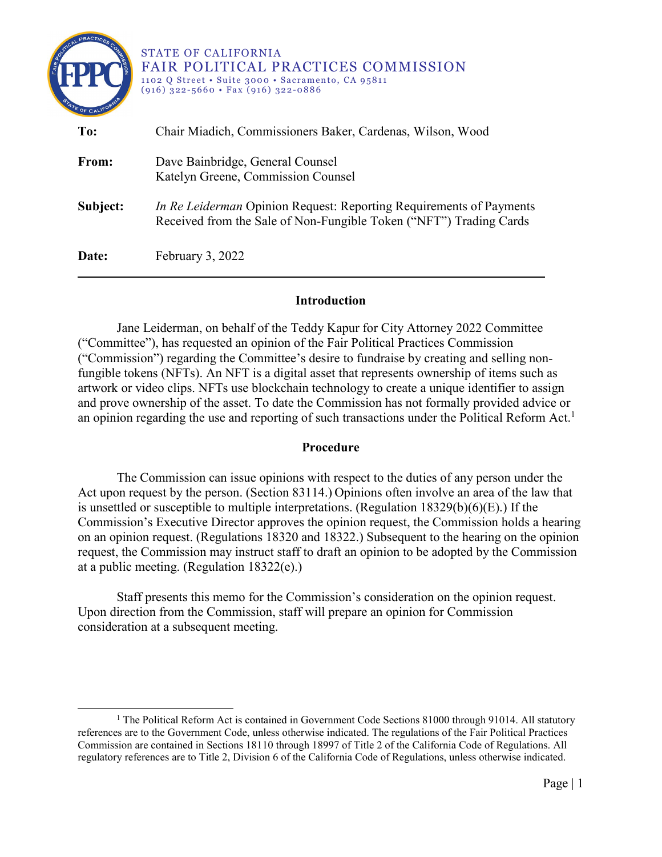| <b>PRACTICA</b><br>AIR POX<br>TE OF CALIF | STATE OF CALIFORNIA<br><b>FAIR POLITICAL PRACTICES COMMISSION</b><br>1102 Q Street • Suite 3000 • Sacramento, CA 95811<br>$(916)$ 322-5660 • Fax $(916)$ 322-0886 |
|-------------------------------------------|-------------------------------------------------------------------------------------------------------------------------------------------------------------------|
| To:                                       | Chair Miadich, Commissioners Baker, Cardenas, Wilson, Wood                                                                                                        |
| From:                                     | Dave Bainbridge, General Counsel<br>Katelyn Greene, Commission Counsel                                                                                            |
| Subject:                                  | <i>In Re Leiderman</i> Opinion Request: Reporting Requirements of Payments<br>Received from the Sale of Non-Fungible Token ("NFT") Trading Cards                  |
| Date:                                     | February 3, 2022                                                                                                                                                  |

## **Introduction**

Jane Leiderman, on behalf of the Teddy Kapur for City Attorney 2022 Committee ("Committee"), has requested an opinion of the Fair Political Practices Commission ("Commission") regarding the Committee's desire to fundraise by creating and selling nonfungible tokens (NFTs). An NFT is a digital asset that represents ownership of items such as artwork or video clips. NFTs use blockchain technology to create a unique identifier to assign and prove ownership of the asset. To date the Commission has not formally provided advice or an opinion regarding the use and reporting of such transactions under the Political Reform Act.<sup>[1](#page-0-0)</sup>

#### **Procedure**

The Commission can issue opinions with respect to the duties of any person under the Act upon request by the person. (Section 83114.) Opinions often involve an area of the law that is unsettled or susceptible to multiple interpretations. (Regulation  $18329(b)(6)(E)$ .) If the Commission's Executive Director approves the opinion request, the Commission holds a hearing on an opinion request. (Regulations 18320 and 18322.) Subsequent to the hearing on the opinion request, the Commission may instruct staff to draft an opinion to be adopted by the Commission at a public meeting. (Regulation 18322(e).)

Staff presents this memo for the Commission's consideration on the opinion request. Upon direction from the Commission, staff will prepare an opinion for Commission consideration at a subsequent meeting.

 $\overline{a}$ 

<span id="page-0-0"></span><sup>&</sup>lt;sup>1</sup> The Political Reform Act is contained in Government Code Sections 81000 through 91014. All statutory references are to the Government Code, unless otherwise indicated. The regulations of the Fair Political Practices Commission are contained in Sections 18110 through 18997 of Title 2 of the California Code of Regulations. All regulatory references are to Title 2, Division 6 of the California Code of Regulations, unless otherwise indicated.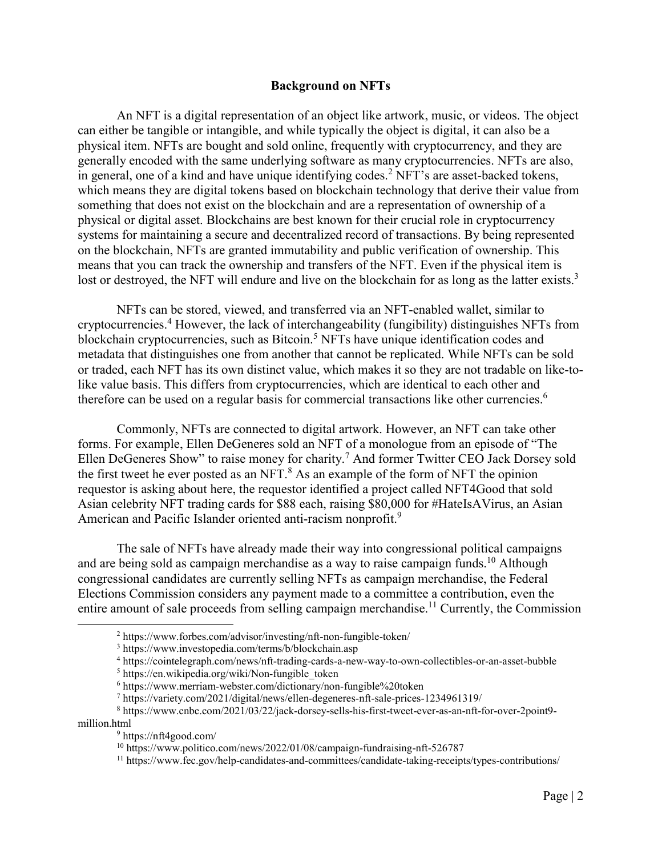#### **Background on NFTs**

An NFT is a digital representation of an object like artwork, music, or videos. The object can either be tangible or intangible, and while typically the object is digital, it can also be a physical item. NFTs are bought and sold online, frequently with cryptocurrency, and they are generally encoded with the same underlying software as many cryptocurrencies. NFTs are also, in general, one of a kind and have unique identifying codes.<sup>[2](#page-1-0)</sup> NFT's are asset-backed tokens, which means they are digital tokens based on blockchain technology that derive their value from something that does not exist on the blockchain and are a representation of ownership of a physical or digital asset. Blockchains are best known for their crucial role in cryptocurrency systems for maintaining a secure and decentralized record of transactions. By being represented on the blockchain, NFTs are granted immutability and public verification of ownership. This means that you can track the ownership and transfers of the NFT. Even if the physical item is lost or destroyed, the NFT will endure and live on the blockchain for as long as the latter exists.<sup>[3](#page-1-1)</sup>

NFTs can be stored, viewed, and transferred via an NFT-enabled wallet, similar to cryptocurrencies. [4](#page-1-2) However, the lack of interchangeability (fungibility) distinguishes NFTs from blockchain cryptocurrencies, such as Bitcoin.<sup>[5](#page-1-3)</sup> NFTs have unique identification codes and metadata that distinguishes one from another that cannot be replicated. While NFTs can be sold or traded, each NFT has its own distinct value, which makes it so they are not tradable on like-tolike value basis. This differs from cryptocurrencies, which are identical to each other and therefore can be used on a regular basis for commercial transactions like other currencies.<sup>[6](#page-1-4)</sup>

Commonly, NFTs are connected to digital artwork. However, an NFT can take other forms. For example, Ellen DeGeneres sold an NFT of a monologue from an episode of "The Ellen DeGeneres Show" to raise money for charity.<sup>[7](#page-1-5)</sup> And former Twitter CEO Jack Dorsey sold the first tweet he ever posted as an NFT. $^8$  $^8$  As an example of the form of NFT the opinion requestor is asking about here, the requestor identified a project called NFT4Good that sold Asian celebrity NFT trading cards for \$88 each, raising \$80,000 for #HateIsAVirus, an Asian American and Pacific Islander oriented anti-racism nonprofit.<sup>[9](#page-1-7)</sup>

The sale of NFTs have already made their way into congressional political campaigns and are being sold as campaign merchandise as a way to raise campaign funds.<sup>[10](#page-1-8)</sup> Although congressional candidates are currently selling NFTs as campaign merchandise, the Federal Elections Commission considers any payment made to a committee a contribution, even the entire amount of sale proceeds from selling campaign merchandise.<sup>[11](#page-1-9)</sup> Currently, the Commission

<span id="page-1-1"></span><span id="page-1-0"></span> $\overline{a}$ 

<sup>2</sup> https://www.forbes.com/advisor/investing/nft-non-fungible-token/

<sup>3</sup> https://www.investopedia.com/terms/b/blockchain.asp

<span id="page-1-2"></span><sup>4</sup> https://cointelegraph.com/news/nft-trading-cards-a-new-way-to-own-collectibles-or-an-asset-bubble

<span id="page-1-3"></span><sup>&</sup>lt;sup>5</sup> https://en.wikipedia.org/wiki/Non-fungible\_token

<sup>6</sup> https://www.merriam-webster.com/dictionary/non-fungible%20token

<sup>7</sup> https://variety.com/2021/digital/news/ellen-degeneres-nft-sale-prices-1234961319/

<span id="page-1-7"></span><span id="page-1-6"></span><span id="page-1-5"></span><span id="page-1-4"></span><sup>8</sup> https://www.cnbc.com/2021/03/22/jack-dorsey-sells-his-first-tweet-ever-as-an-nft-for-over-2point9 million.html

<sup>9</sup> https://nft4good.com/

<span id="page-1-8"></span><sup>10</sup> https://www.politico.com/news/2022/01/08/campaign-fundraising-nft-526787

<span id="page-1-9"></span><sup>&</sup>lt;sup>11</sup> https://www.fec.gov/help-candidates-and-committees/candidate-taking-receipts/types-contributions/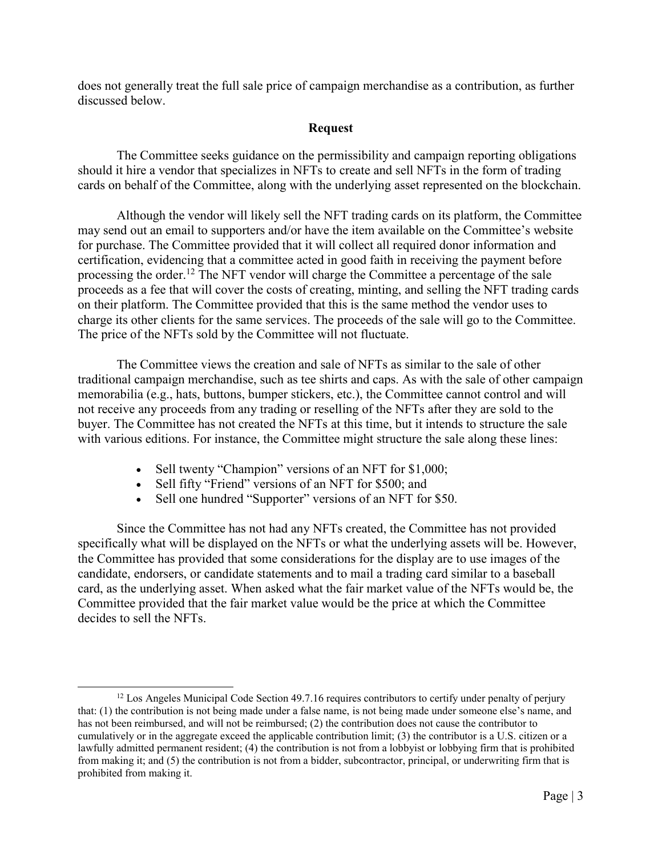does not generally treat the full sale price of campaign merchandise as a contribution, as further discussed below.

### **Request**

The Committee seeks guidance on the permissibility and campaign reporting obligations should it hire a vendor that specializes in NFTs to create and sell NFTs in the form of trading cards on behalf of the Committee, along with the underlying asset represented on the blockchain.

Although the vendor will likely sell the NFT trading cards on its platform, the Committee may send out an email to supporters and/or have the item available on the Committee's website for purchase. The Committee provided that it will collect all required donor information and certification, evidencing that a committee acted in good faith in receiving the payment before processing the order.<sup>[12](#page-2-0)</sup> The NFT vendor will charge the Committee a percentage of the sale proceeds as a fee that will cover the costs of creating, minting, and selling the NFT trading cards on their platform. The Committee provided that this is the same method the vendor uses to charge its other clients for the same services. The proceeds of the sale will go to the Committee. The price of the NFTs sold by the Committee will not fluctuate.

The Committee views the creation and sale of NFTs as similar to the sale of other traditional campaign merchandise, such as tee shirts and caps. As with the sale of other campaign memorabilia (e.g., hats, buttons, bumper stickers, etc.), the Committee cannot control and will not receive any proceeds from any trading or reselling of the NFTs after they are sold to the buyer. The Committee has not created the NFTs at this time, but it intends to structure the sale with various editions. For instance, the Committee might structure the sale along these lines:

- Sell twenty "Champion" versions of an NFT for \$1,000;
- Sell fifty "Friend" versions of an NFT for \$500; and
- Sell one hundred "Supporter" versions of an NFT for \$50.

Since the Committee has not had any NFTs created, the Committee has not provided specifically what will be displayed on the NFTs or what the underlying assets will be. However, the Committee has provided that some considerations for the display are to use images of the candidate, endorsers, or candidate statements and to mail a trading card similar to a baseball card, as the underlying asset. When asked what the fair market value of the NFTs would be, the Committee provided that the fair market value would be the price at which the Committee decides to sell the NFTs.

<span id="page-2-0"></span> $\overline{a}$  $12$  Los Angeles Municipal Code Section 49.7.16 requires contributors to certify under penalty of perjury that: (1) the contribution is not being made under a false name, is not being made under someone else's name, and has not been reimbursed, and will not be reimbursed; (2) the contribution does not cause the contributor to cumulatively or in the aggregate exceed the applicable contribution limit; (3) the contributor is a U.S. citizen or a lawfully admitted permanent resident; (4) the contribution is not from a lobbyist or lobbying firm that is prohibited from making it; and (5) the contribution is not from a bidder, subcontractor, principal, or underwriting firm that is prohibited from making it.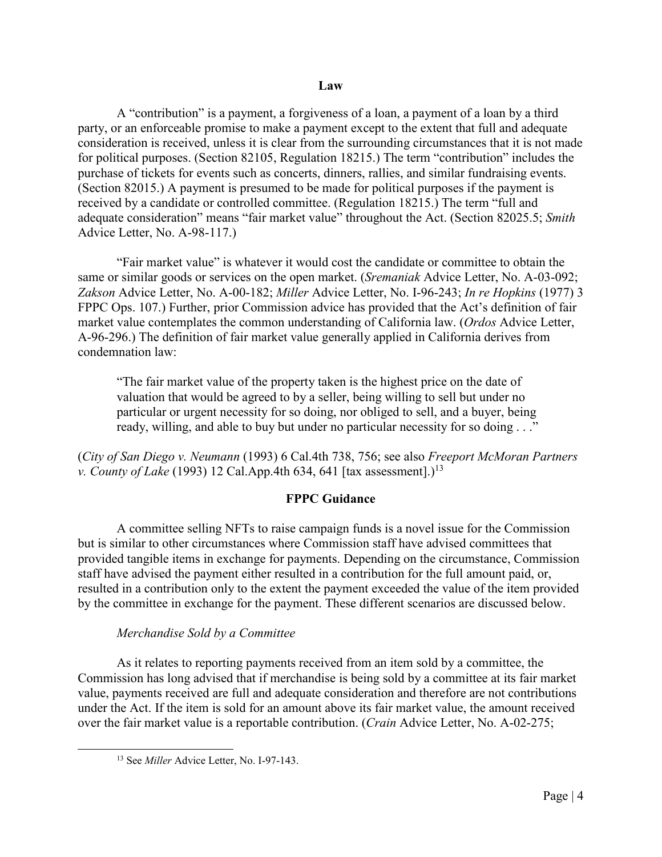#### **Law**

A "contribution" is a payment, a forgiveness of a loan, a payment of a loan by a third party, or an enforceable promise to make a payment except to the extent that full and adequate consideration is received, unless it is clear from the surrounding circumstances that it is not made for political purposes. (Section 82105, Regulation 18215.) The term "contribution" includes the purchase of tickets for events such as concerts, dinners, rallies, and similar fundraising events. (Section 82015.) A payment is presumed to be made for political purposes if the payment is received by a candidate or controlled committee. (Regulation 18215.) The term "full and adequate consideration" means "fair market value" throughout the Act. (Section 82025.5; *Smith* Advice Letter, No. A-98-117.)

"Fair market value" is whatever it would cost the candidate or committee to obtain the same or similar goods or services on the open market. (*Sremaniak* Advice Letter, No. A-03-092; *Zakson* Advice Letter, No. A-00-182; *Miller* Advice Letter, No. I-96-243; *In re Hopkins* (1977) 3 FPPC Ops. 107.) Further, prior Commission advice has provided that the Act's definition of fair market value contemplates the common understanding of California law. (*Ordos* Advice Letter, A-96-296.) The definition of fair market value generally applied in California derives from condemnation law:

"The fair market value of the property taken is the highest price on the date of valuation that would be agreed to by a seller, being willing to sell but under no particular or urgent necessity for so doing, nor obliged to sell, and a buyer, being ready, willing, and able to buy but under no particular necessity for so doing . . ."

(*City of San Diego v. Neumann* (1993) 6 Cal.4th 738, 756; see also *Freeport McMoran Partners v. County of Lake* (1993) 12 Cal.App.4th 634, 641 [tax assessment].)<sup>[13](#page-3-0)</sup>

## **FPPC Guidance**

A committee selling NFTs to raise campaign funds is a novel issue for the Commission but is similar to other circumstances where Commission staff have advised committees that provided tangible items in exchange for payments. Depending on the circumstance, Commission staff have advised the payment either resulted in a contribution for the full amount paid, or, resulted in a contribution only to the extent the payment exceeded the value of the item provided by the committee in exchange for the payment. These different scenarios are discussed below.

#### *Merchandise Sold by a Committee*

As it relates to reporting payments received from an item sold by a committee, the Commission has long advised that if merchandise is being sold by a committee at its fair market value, payments received are full and adequate consideration and therefore are not contributions under the Act. If the item is sold for an amount above its fair market value, the amount received over the fair market value is a reportable contribution. (*Crain* Advice Letter, No. A-02-275;

<span id="page-3-0"></span> $\overline{a}$ 

<sup>13</sup> See *Miller* Advice Letter, No. I-97-143.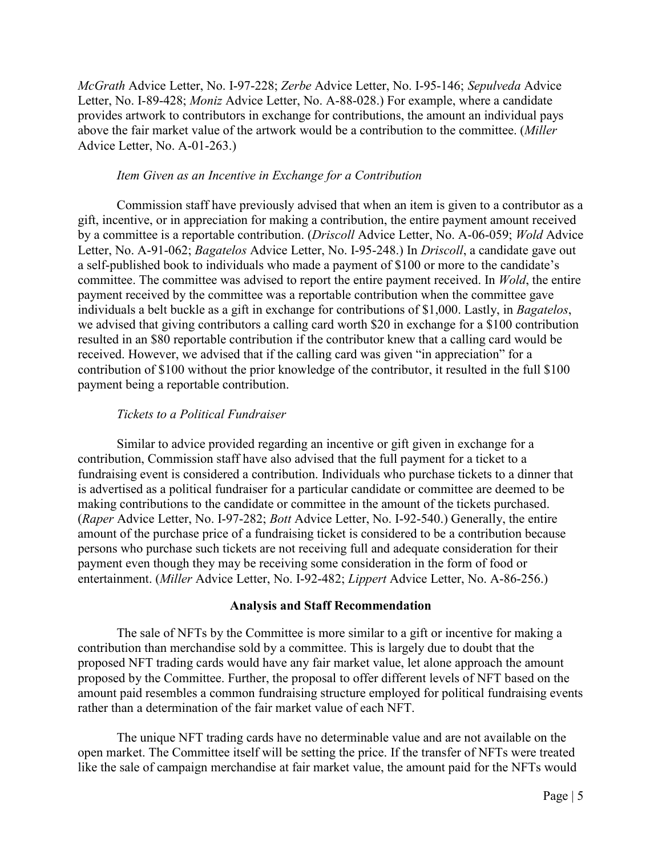*McGrath* Advice Letter, No. I-97-228; *Zerbe* Advice Letter, No. I-95-146; *Sepulveda* Advice Letter, No. I-89-428; *Moniz* Advice Letter, No. A-88-028.) For example, where a candidate provides artwork to contributors in exchange for contributions, the amount an individual pays above the fair market value of the artwork would be a contribution to the committee. (*Miller* Advice Letter, No. A-01-263.)

### *Item Given as an Incentive in Exchange for a Contribution*

Commission staff have previously advised that when an item is given to a contributor as a gift, incentive, or in appreciation for making a contribution, the entire payment amount received by a committee is a reportable contribution. (*Driscoll* Advice Letter, No. A-06-059; *Wold* Advice Letter, No. A-91-062; *Bagatelos* Advice Letter, No. I-95-248.) In *Driscoll*, a candidate gave out a self-published book to individuals who made a payment of \$100 or more to the candidate's committee. The committee was advised to report the entire payment received. In *Wold*, the entire payment received by the committee was a reportable contribution when the committee gave individuals a belt buckle as a gift in exchange for contributions of \$1,000. Lastly, in *Bagatelos*, we advised that giving contributors a calling card worth \$20 in exchange for a \$100 contribution resulted in an \$80 reportable contribution if the contributor knew that a calling card would be received. However, we advised that if the calling card was given "in appreciation" for a contribution of \$100 without the prior knowledge of the contributor, it resulted in the full \$100 payment being a reportable contribution.

# *Tickets to a Political Fundraiser*

Similar to advice provided regarding an incentive or gift given in exchange for a contribution, Commission staff have also advised that the full payment for a ticket to a fundraising event is considered a contribution. Individuals who purchase tickets to a dinner that is advertised as a political fundraiser for a particular candidate or committee are deemed to be making contributions to the candidate or committee in the amount of the tickets purchased. (*Raper* Advice Letter, No. I-97-282; *Bott* Advice Letter, No. I-92-540.) Generally, the entire amount of the purchase price of a fundraising ticket is considered to be a contribution because persons who purchase such tickets are not receiving full and adequate consideration for their payment even though they may be receiving some consideration in the form of food or entertainment. (*Miller* Advice Letter, No. I-92-482; *Lippert* Advice Letter, No. A-86-256.)

# **Analysis and Staff Recommendation**

The sale of NFTs by the Committee is more similar to a gift or incentive for making a contribution than merchandise sold by a committee. This is largely due to doubt that the proposed NFT trading cards would have any fair market value, let alone approach the amount proposed by the Committee. Further, the proposal to offer different levels of NFT based on the amount paid resembles a common fundraising structure employed for political fundraising events rather than a determination of the fair market value of each NFT.

The unique NFT trading cards have no determinable value and are not available on the open market. The Committee itself will be setting the price. If the transfer of NFTs were treated like the sale of campaign merchandise at fair market value, the amount paid for the NFTs would